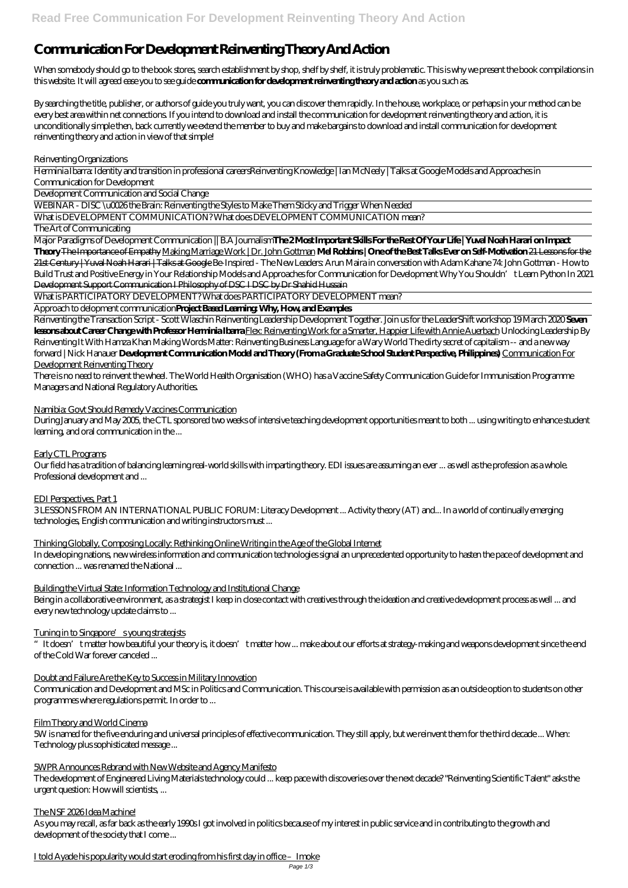# **Communication For Development Reinventing Theory And Action**

When somebody should go to the book stores, search establishment by shop, shelf by shelf, it is truly problematic. This is why we present the book compilations in this website. It will agreed ease you to see guide **communication for development reinventing theory and action** as you such as.

By searching the title, publisher, or authors of guide you truly want, you can discover them rapidly. In the house, workplace, or perhaps in your method can be every best area within net connections. If you intend to download and install the communication for development reinventing theory and action, it is unconditionally simple then, back currently we extend the member to buy and make bargains to download and install communication for development reinventing theory and action in view of that simple!

Reinventing Organizations

Herminia Ibarra: Identity and transition in professional careers*Reinventing Knowledge | Ian McNeely | Talks at Google Models and Approaches in Communication for Development*

Development Communication and Social Change

WEBINAR - DISC \u0026 the Brain: Reinventing the Styles to Make Them Sticky and Trigger When Needed

What is DEVELOPMENT COMMUNICATION? What does DEVELOPMENT COMMUNICATION mean?

The Art of Communicating

Major Paradigms of Development Communication || B.A Journalism**The 2 Most Important Skills For the Rest Of Your Life | Yuval Noah Harari on Impact Theory** The Importance of Empathy Making Marriage Work | Dr. John Gottman **Mel Robbins | One of the Best Talks Ever on Self-Motivation** 21 Lessons for the 21st Century | Yuval Noah Harari | Talks at Google *Be-Inspired - The New Leaders: Arun Maira in conversation with Adam Kahane* 74: John Gottman - How to Build Trust and Positive Energy in Your Relationship *Models and Approaches for Communication for Development Why You Shouldn't Learn Python In 2021* Development Support Communication I Philosophy of DSC I DSC by Dr Shahid Hussain

What is PARTICIPATORY DEVELOPMENT? What does PARTICIPATORY DEVELOPMENT mean?

Approach to delopment communication**Project Based Learning: Why, How, and Examples**

Reinventing the Transaction Script - Scott Wlaschin Reinventing Leadership Development Together. Join us for the LeaderShift workshop 19 March 2020 **Seven lessons about Career Change with Professor Herminia Ibarra** Flex: Reinventing Work for a Smarter, Happier Life with Annie Auerbach *Unlocking Leadership By Reinventing It With Hamza Khan Making Words Matter: Reinventing Business Language for a Wary World* The dirty secret of capitalism -- and a new way forward | Nick Hanauer **Development Communication Model and Theory (From a Graduate School Student Perspective, Philippines)** Communication For Development Reinventing Theory

#### I told Ayade his popularity would start eroding from his first day in office – Imoke Page 1/3

There is no need to reinvent the wheel. The World Health Organisation (WHO) has a Vaccine Safety Communication Guide for Immunisation Programme Managers and National Regulatory Authorities.

Namibia: Govt Should Remedy Vaccines Communication

During January and May 2005, the CTL sponsored two weeks of intensive teaching development opportunities meant to both ... using writing to enhance student learning, and oral communication in the ...

Early CTL Programs

Our field has a tradition of balancing learning real-world skills with imparting theory. EDI issues are assuming an ever ... as well as the profession as a whole. Professional development and ...

EDI Perspectives, Part 1

3 LESSONS FROM AN INTERNATIONAL PUBLIC FORUM: Literacy Development ... Activity theory (AT) and... In a world of continually emerging technologies, English communication and writing instructors must ...

Thinking Globally, Composing Locally: Rethinking Online Writing in the Age of the Global Internet

In developing nations, new wireless information and communication technologies signal an unprecedented opportunity to hasten the pace of development and connection ... was renamed the National ...

## Building the Virtual State: Information Technology and Institutional Change

Being in a collaborative environment, as a strategist I keep in close contact with creatives through the ideation and creative development process as well ... and every new technology update claims to ...

## Tuning in to Singapore's young strategists

"It doesn't matter how beautiful your theory is, it doesn't matter how ... make about our efforts at strategy-making and weapons development since the end of the Cold War forever canceled ...

Doubt and Failure Are the Key to Success in Military Innovation

Communication and Development and MSc in Politics and Communication. This course is available with permission as an outside option to students on other programmes where regulations permit. In order to ...

#### Film Theory and World Cinema

5W is named for the five enduring and universal principles of effective communication. They still apply, but we reinvent them for the third decade ... When: Technology plus sophisticated message ...

#### 5WPR Announces Rebrand with New Website and Agency Manifesto

The development of Engineered Living Materials technology could ... keep pace with discoveries over the next decade? "Reinventing Scientific Talent" asks the urgent question: How will scientists, ...

#### The NSF 2026 Idea Machine!

As you may recall, as far back as the early 1990s I got involved in politics because of my interest in public service and in contributing to the growth and development of the society that I come ...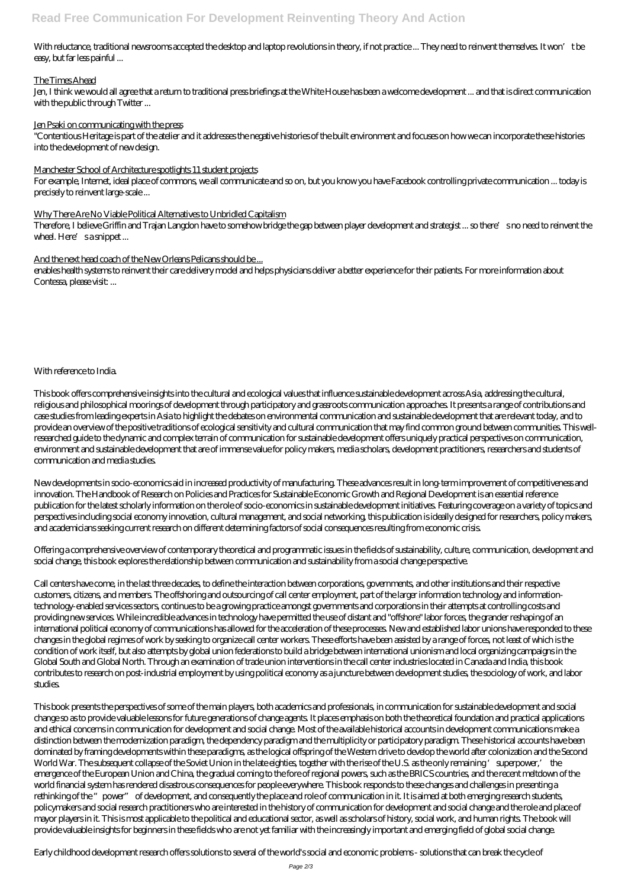With reluctance, traditional newsrooms accepted the desktop and laptop revolutions in theory, if not practice ... They need to reinvent themselves. It won't be easy, but far less painful ...

## The Times Ahead

Jen, I think we would all agree that a return to traditional press briefings at the White House has been a welcome development ... and that is direct communication with the public through Twitter ...

#### Jen Psaki on communicating with the press

Therefore, I believe Griffin and Trajan Langdon have to somehow bridge the gap between player development and strategist ... so there's no need to reinvent the wheel. Here's a snippet...

## And the next head coach of the New Orleans Pelicans should be ...

"Contentious Heritage is part of the atelier and it addresses the negative histories of the built environment and focuses on how we can incorporate these histories into the development of new design.

#### Manchester School of Architecture spotlights 11 student projects

For example, Internet, ideal place of commons, we all communicate and so on, but you know you have Facebook controlling private communication ... today is precisely to reinvent large-scale ...

## Why There Are No Viable Political Alternatives to Unbridled Capitalism

enables health systems to reinvent their care delivery model and helps physicians deliver a better experience for their patients. For more information about Contessa, please visit: ...

## With reference to India.

This book offers comprehensive insights into the cultural and ecological values that influence sustainable development across Asia, addressing the cultural, religious and philosophical moorings of development through participatory and grassroots communication approaches. It presents a range of contributions and case studies from leading experts in Asia to highlight the debates on environmental communication and sustainable development that are relevant today, and to provide an overview of the positive traditions of ecological sensitivity and cultural communication that may find common ground between communities. This wellresearched guide to the dynamic and complex terrain of communication for sustainable development offers uniquely practical perspectives on communication, environment and sustainable development that are of immense value for policy makers, media scholars, development practitioners, researchers and students of communication and media studies.

New developments in socio-economics aid in increased productivity of manufacturing. These advances result in long-term improvement of competitiveness and innovation. The Handbook of Research on Policies and Practices for Sustainable Economic Growth and Regional Development is an essential reference publication for the latest scholarly information on the role of socio-economics in sustainable development initiatives. Featuring coverage on a variety of topics and perspectives including social economy innovation, cultural management, and social networking, this publication is ideally designed for researchers, policy makers, and academicians seeking current research on different determining factors of social consequences resulting from economic crisis.

Offering a comprehensive overview of contemporary theoretical and programmatic issues in the fields of sustainability, culture, communication, development and social change, this book explores the relationship between communication and sustainability from a social change perspective.

Call centers have come, in the last three decades, to define the interaction between corporations, governments, and other institutions and their respective customers, citizens, and members. The offshoring and outsourcing of call center employment, part of the larger information technology and informationtechnology-enabled services sectors, continues to be a growing practice amongst governments and corporations in their attempts at controlling costs and providing new services. While incredible advances in technology have permitted the use of distant and "offshore" labor forces, the grander reshaping of an international political economy of communications has allowed for the acceleration of these processes. New and established labor unions have responded to these changes in the global regimes of work by seeking to organize call center workers. These efforts have been assisted by a range of forces, not least of which is the condition of work itself, but also attempts by global union federations to build a bridge between international unionism and local organizing campaigns in the Global South and Global North. Through an examination of trade union interventions in the call center industries located in Canada and India, this book contributes to research on post-industrial employment by using political economy as a juncture between development studies, the sociology of work, and labor studies.

This book presents the perspectives of some of the main players, both academics and professionals, in communication for sustainable development and social change so as to provide valuable lessons for future generations of change agents. It places emphasis on both the theoretical foundation and practical applications and ethical concerns in communication for development and social change. Most of the available historical accounts in development communications make a distinction between the modernization paradigm, the dependency paradigm and the multiplicity or participatory paradigm. These historical accounts have been dominated by framing developments within these paradigms, as the logical offspring of the Western drive to develop the world after colonization and the Second World War. The subsequent collapse of the Soviet Union in the late eighties, together with the rise of the U.S. as the only remaining 'superpower,' the emergence of the European Union and China, the gradual coming to the fore of regional powers, such as the BRICS countries, and the recent meltdown of the world financial system has rendered disastrous consequences for people everywhere. This book responds to these changes and challenges in presenting a rethinking of the "power" of development, and consequently the place and role of communication in it. It is aimed at both emerging research students, policymakers and social research practitioners who are interested in the history of communication for development and social change and the role and place of mayor players in it. This is most applicable to the political and educational sector, as well as scholars of history, social work, and human rights. The book will provide valuable insights for beginners in these fields who are not yet familiar with the increasingly important and emerging field of global social change.

Early childhood development research offers solutions to several of the world's social and economic problems - solutions that can break the cycle of